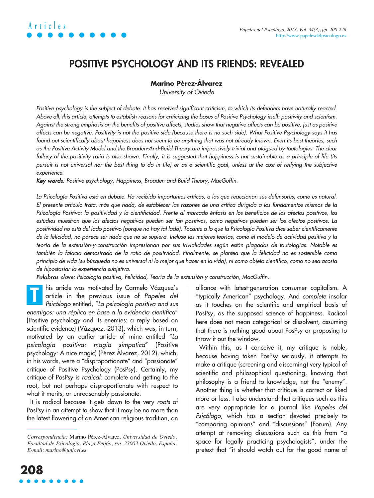# **Articles** *Papeles del Psicólogo, 2013. Vol. 34(3), pp. 208-226*

### **POSITIVE PSYCHOLOGY AND ITS FRIENDS: REVEALED**

#### **Marino Pérez-Álvarez**

University of Oviedo

Positive psychology is the subject of debate. It has received significant criticism, to which its defenders have naturally reacted. Above all, this article, attempts to establish reasons for criticizing the bases of Positive Psychology itself: positivity and scientism. Against the strong emphasis on the benefits of positive affects, studies show that negative affects can be positive, just as positive affects can be negative. Positivity is not the positive side (because there is no such side). What Positive Psychology says it has found out scientifically about happiness does not seem to be anything that was not already known. Even its best theories, such as the Positive Activity Model and the Broaden-And-Build Theory are impressively trivial and plagued by tautologies. The clear fallacy of the positivity ratio is also shown. Finally, it is suggested that happiness is not sustainable as a principle of life (its pursuit is not universal nor the best thing to do in life) or as a scientific goal, unless at the cost of reifying the subjective experience.

Key words: Positive psychology, Happiness, Broaden-and-Build Theory, MacGuffin.

La Psicología Positiva está en debate. Ha recibido importantes críticas, a las que reaccionan sus defensores, como es natural. El presente artículo trata, más que nada, de establecer las razones de una crítica dirigida a los fundamentos mismos de la Psicología Positiva: la positividad y la cientificidad. Frente al marcado énfasis en los beneficios de los afectos positivos, los estudios muestran que los afectos negativos pueden ser tan positivos, como negativos pueden ser los afectos positivos. La positividad no está del lado positivo (porque no hay tal lado). Tocante a lo que la Psicología Positiva dice saber científicamente de la felicidad, no parece ser nada que no se supiera. Incluso las mejores teorías, como el modelo de actividad positiva y la teoría de la extensión-y-construcción impresionan por sus trivialidades según están plagadas de tautologías. Notable es también la falacia demostrada de la ratio de positividad. Finalmente, se plantea que la felicidad no es sostenible como principio de vida (su búsqueda no es universal ni lo mejor que hacer en la vida), ni como objeto científico, como no sea acosta de hipostasiar la experiencia subjetiva.

Palabras clave: Psicología positiva, Felicidad, Teoría de la extensión-y-construcción, MacGuffin.

his article was motivated by Carmelo Vázquez's article in the previous issue of Papeles del Psicólogo entitled, "La psicología positiva and sus enemigos: una réplica en base a la evidencia científica" (Positive psychology and its enemies: a reply based on scientific evidence) (Vázquez, 2013), which was, in turn, motivated by an earlier article of mine entitled "La psicología positiva: magia simpatica" (Positive psychology: A nice magic) (Pérez Álvarez, 2012), which, in his words, were a "disproportionate" and "passionate" critique of Positive Psychology (PosPsy). Certainly, my critique of PosPsy is radical: complete and getting to the root, but not perhaps disproportionate with respect to what it merits, or unreasonably passionate. **T**

It is radical because it gets down to the very roots of PosPsy in an attempt to show that it may be no more than the latest flowering of an American religious tradition, an

alliance with latest-generation consumer capitalism. A "typically American" psychology. And complete insofar as it touches on the scientific and empirical basis of PosPsy, as the supposed science of happiness. Radical here does not mean categorical or dissolvent, assuming that there is nothing good about PosPsy or proposing to throw it out the window.

Within this, as I conceive it, my critique is noble, because having taken PosPsy seriously, it attempts to make a critique (screening and discerning) very typical of scientific and philosophical questioning, knowing that philosophy is a friend to knowledge, not the "enemy". Another thing is whether that critique is correct or liked more or less. I also understand that critiques such as this are very appropriate for a journal like Papeles del Psicólogo, which has a section devoted precisely to "comparing opinions" and "discussions" (Forum). Any attempt at removing discussions such as this from "a space for legally practicing psychologists", under the pretext that "it should watch out for the good name of

*Correspondencia:* Marino Pérez-Álvarez. *Universidad de Oviedo. Facultad de Psicología. Plaza Feijóo, s/n. 33003 Oviedo. España. E-mail: marino@uniovi.es*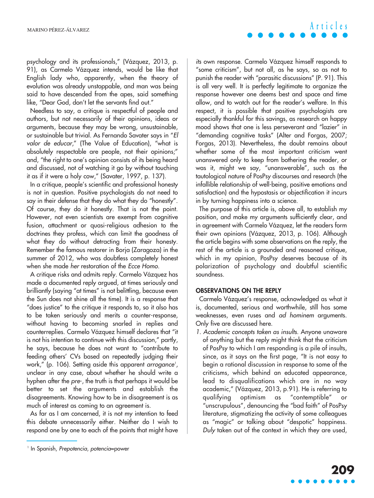psychology and its professionals," (Vázquez, 2013, p. 91), as Carmelo Vázquez intends, would be like that English lady who, apparently, when the theory of evolution was already unstoppable, and man was being said to have descended from the apes, said something like, "Dear God, don't let the servants find out."

Needless to say, a critique is respectful of people and authors, but not necessarily of their opinions, ideas or arguments, because they may be wrong, unsustainable, or sustainable but trivial. As Fernando Savater says in "El valor de educar," (The Value of Education), "what is absolutely respectable are people, not their opinions;" and, "the right to one's opinion consists of its being heard and discussed, not of watching it go by without touching it as if it were a holy cow," (Savater, 1997, p. 137).

In a critique, people's scientific and professional honesty is not in question. Positive psychologists do not need to say in their defense that they do what they do "honestly". Of course, they do it honestly. That is not the point. However, not even scientists are exempt from cognitive fusion, attachment or quasi-religious adhesion to the doctrines they profess, which can limit the goodness of what they do without detracting from their honesty. Remember the famous restorer in Borja (Zaragoza) in the summer of 2012, who was doubtless completely honest when she made her restoration of the Ecce Homo.

A critique risks and admits reply. Carmelo Vázquez has made a documented reply argued, at times seriously and brilliantly (saying "at times" is not belittling, because even the Sun does not shine all the time). It is a response that "does justice" to the critique it responds to, so it also has to be taken seriously and merits a counter-response, without having to becoming snarled in replies and counterreplies. Carmelo Vázquez himself declares that "it is not his intention to continue with this discussion," partly, he says, because he does not want to "contribute to feeding others' CVs based on repeatedly judging their work," (p. 106). Setting aside this apparent *arrogance<sup>,</sup>*, unclear in any case, about whether he should write a hyphen after the pre-, the truth is that perhaps it would be better to set the arguments and establish the disagreements. Knowing how to be in disagreement is as much of interest as coming to an agreement is.

As far as I am concerned, it is not my intention to feed this debate unnecessarily either. Neither do I wish to respond one by one to each of the points that might have

its own response. Carmelo Vázquez himself responds to "some criticism", but not all, as he says, so as not to punish the reader with "parasitic discussions" (P. 91). This is all very well. It is perfectly legitimate to organize the response however one deems best and space and time allow, and to watch out for the reader's welfare. In this respect, it is possible that positive psychologists are especially thankful for this savings, as research on happy mood shows that one is less perseverant and "lazier" in "demanding cognitive tasks" (Alter and Forgas, 2007; Forgas, 2013). Nevertheless, the doubt remains about whether some of the most important criticism went unanswered only to keep from bothering the reader, or was it, might we say, "unanswerable", such as the tautological nature of PosPsy discourses and research (the infallible relationship of well-being, positive emotions and satisfaction) and the hypostasis or objectification it incurs in by turning happiness into a science.

The purpose of this article is, above all, to establish my position, and make my arguments sufficiently clear, and in agreement with Carmelo Vázquez, let the readers form their own opinions (Vázquez, 2013, p. 106). Although the article begins with some observations on the reply, the rest of the article is a grounded and reasoned critique, which in my opinion, PosPsy deserves because of its polarization of psychology and doubtful scientific soundness.

#### **OBSERVATIONS ON THE REPLY**

Carmelo Vázquez's response, acknowledged as what it is, documented, serious and worthwhile, still has some weaknesses, even ruses and ad hominem arguments. Only five are discussed here.

1. Academic concepts taken as insults. Anyone unaware of anything but the reply might think that the criticism of PosPsy to which I am responding is a pile of insults, since, as it says on the first page, "It is not easy to begin a rational discussion in response to some of the criticisms, which behind an educated appearance, lead to disqualifications which are in no way academic," (Vázquez, 2013, p.91). He is referring to qualifying optimism as "contemptible" or "unscrupulous", denouncing the "bad faith" of PosPsy literature, stigmatizing the activity of some colleagues as "magic" or talking about "despotic" happiness. Duly taken out of the context in which they are used,

<sup>&</sup>lt;sup>1</sup> In Spanish, Prepotencia, potencia=power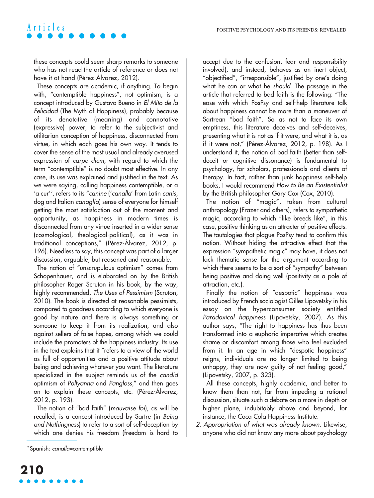these concepts could seem sharp remarks to someone who has not read the article of reference or does not have it at hand (Pérez-Álvarez, 2012).

These concepts are academic, if anything. To begin with, "contemptible happiness", not optimism, is a concept introduced by Gustavo Bueno in El Mito de la Felicidad (The Myth of Happiness), probably because of its denotative (meaning) and connotative (expressive) power, to refer to the subjectivist and utilitarian conception of happiness, disconnected from virtue, in which each goes his own way. It tends to cover the sense of the most usual and already overused expression of carpe diem, with regard to which the term "contemptible" is no doubt most effective. In any case, its use was explained and justified in the text. As we were saying, calling happiness contemptible, or a 'a cur'2 , refers to its "canine ('canalla' from Latin canis, dog and Italian canaglia) sense of everyone for himself getting the most satisfaction out of the moment and opportunity, as happiness in modern times is disconnected from any virtue inserted in a wider sense (cosmological, theological-political), as it was in traditional conceptions," (Pérez-Álvarez, 2012, p. 196). Needless to say, this concept was part of a larger discussion, arguable, but reasoned and reasonable.

The notion of "unscrupulous optimism" comes from Schopenhauer, and is elaborated on by the British philosopher Roger Scruton in his book, by the way, highly recommended, The Uses of Pessimism (Scruton, 2010). The book is directed at reasonable pessimists, compared to goodness according to which everyone is good by nature and there is always something or someone to keep it from its realization, and also against sellers of false hopes, among which we could include the promoters of the happiness industry. Its use in the text explains that it "refers to a view of the world as full of opportunities and a positive attitude about being and achieving whatever you want. The literature specialized in the subject reminds us of the candid optimism of Pollyanna and Pangloss," and then goes on to explain these concepts, etc. (Pérez-Álvarez, 2012, p. 193).

The notion of "bad faith" (mauvaise foi), as will be recalled, is a concept introduced by Sartre (in Being and Nothingness) to refer to a sort of self-deception by which one denies his freedom (freedom is hard to

accept due to the confusion, fear and responsibility involved), and instead, behaves as an inert object, "objectified", "irresponsible", justified by one's doing what he can or what he should. The passage in the article that referred to bad faith is the following: "The ease with which PosPsy and self-help literature talk about happiness cannot be more than a maneuver of Sartrean "bad faith". So as not to face its own emptiness, this literature deceives and self-deceives, presenting what it is not as if it were, and what it is, as if it were not," (Pérez-Álvarez, 2012, p. 198). As I understand it, the notion of bad faith (better than selfdeceit or cognitive dissonance) is fundamental to psychology, for scholars, professionals and clients of therapy. In fact, rather than junk happiness self-help books, I would recommend How to Be an Existentialist by the British philosopher Gary Cox (Cox, 2010).

The notion of "magic", taken from cultural anthropology (Frazer and others), refers to sympathetic magic, according to which "like breeds like", in this case, positive thinking as an attracter of positive effects. The tautologies that plague PosPsy tend to confirm this notion. Without hiding the attractive effect that the expression "sympathetic magic" may have, it does not lack thematic sense for the argument according to which there seems to be a sort of "sympathy" between being positive and doing well (positivity as a pole of attraction, etc.).

Finally the notion of "despotic" happiness was introduced by French sociologist Gilles Lipovetsky in his essay on the hyperconsumer society entitled Paradoxical happiness (Lipovetsky, 2007). As this author says, "The right to happiness has thus been transformed into a euphoric imperative which creates shame or discomfort among those who feel excluded from it. In an age in which "despotic happiness" reigns, individuals are no longer limited to being unhappy, they are now guilty of not feeling good," (Lipovetsky, 2007, p. 323).

All these concepts, highly academic, and better to know them than not, far from impeding a rational discussion, situate such a debate on a more in-depth or higher plane, indubitably above and beyond, for instance, the Coca Cola Happiness Institute.

2. Appropriation of what was already known. Likewise, anyone who did not know any more about psychology

<sup>&</sup>lt;sup>2</sup> Spanish: canalla=contemptible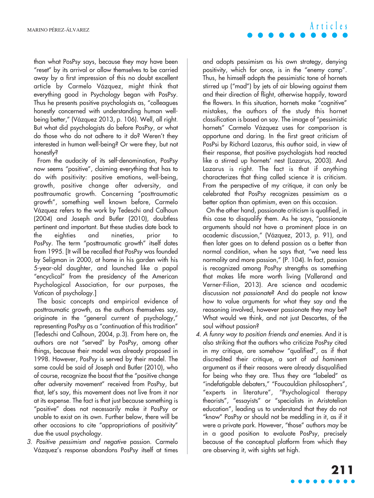than what PosPsy says, because they may have been "reset" by its arrival or allow themselves to be carried away by a first impression of this no doubt excellent article by Carmelo Vázquez, might think that everything good in Psychology began with PosPsy. Thus he presents positive psychologists as, "colleagues honestly concerned with understanding human wellbeing better," (Vázquez 2013, p. 106). Well, all right. But what did psychologists do before PosPsy, or what do those who do not adhere to it do? Weren't they interested in human well-being? Or were they, but not honestly?

From the audacity of its self-denomination, PosPsy now seems "positive", claiming everything that has to do with positivity: positive emotions, well-being, growth, positive change after adversity, and posttraumatic growth. Concerning "posttraumatic growth", something well known before, Carmelo Vázquez refers to the work by Tedeschi and Calhoun (2004) and Joseph and Butler (2010), doubtless pertinent and important. But these studies date back to the eighties and nineties, prior PosPsy. The term "posttraumatic growth" itself dates from 1995. [It will be recalled that PosPsy was founded by Seligman in 2000, at home in his garden with his 5-year-old daughter, and launched like a papal "encyclical" from the presidency of the American Psychological Association, for our purposes, the Vatican of psychology.]

The basic concepts and empirical evidence of posttraumatic growth, as the authors themselves say, originate in the "general current of psychology," representing PosPsy as a "continuation of this tradition" (Tedeschi and Calhoun, 2004, p.3). From here on, the authors are not "served" by PosPsy, among other things, because their model was already proposed in 1998. However, PosPsy is served by their model. The same could be said of Joseph and Butler (2010), who of course, recognize the boost that the "positive change after adversity movement" received from PosPsy, but that, let's say, this movement does not live from it nor at its expense. The fact is that just because something is "positive" does not necessarily make it PosPsy or unable to exist on its own. Further below, there will be other occasions to cite "appropriations of positivity" due the usual psychology.

3. Positive pessimism and negative passion. Carmelo Vázquez's response abandons PosPsy itself at times and adopts pessimism as his own strategy, denying positivity, which for once, is in the "enemy camp". Thus, he himself adopts the pessimistic tone of hornets stirred up ("mad") by jets of air blowing against them and their direction of flight, otherwise happily, toward the flowers. In this situation, hornets make "cognitive" mistakes, the authors of the study this hornet classification is based on say. The image of "pessimistic hornets" Carmelo Vázquez uses for comparison is opportune and daring. In the first great criticism of PosPsi by Richard Lazarus, this author said, in view of their response, that positive psychologists had reacted like a stirred up hornets' nest (Lazarus, 2003). And Lazarus is right. The fact is that if anything characterizes that thing called science it is criticism. From the perspective of my critique, it can only be celebrated that PosPsy recognizes pessimism as a better option than optimism, even on this occasion.

On the other hand, passionate criticism is qualified, in this case to disqualify them. As he says, "passionate arguments should not have a prominent place in an academic discussion," (Vázquez, 2013, p. 91), and then later goes on to defend passion as a better than normal condition, when he says that, "we need less normality and more passion," (P. 104). In fact, passion is recognized among PosPsy strengths as something that makes life more worth living (Vallerand and Verner-Filion, 2013). Are science and academic discussion not passionate? And do people not know how to value arguments for what they say and the reasoning involved, however passionate they may be? What would we think, and not just Descartes, of the soul without passion?

4. A funny way to position friends and enemies. And it is also striking that the authors who criticize PosPsy cited in my critique, are somehow "qualified", as if that discredited their critique, a sort of ad hominem argument as if their reasons were already disqualified for being who they are. Thus they are "labeled" as "indefatigable debaters," "Foucauldian philosophers", "experts in literature", "Psychological therapy theorists", "essayists" or "specialists in Aristotelian education", leading us to understand that they do not "know" PosPsy or should not be meddling in it, as if it were a private park. However, "those" authors may be in a good position to evaluate PosPsy, precisely because of the conceptual platform from which they are observing it, with sights set high.

# **Articles**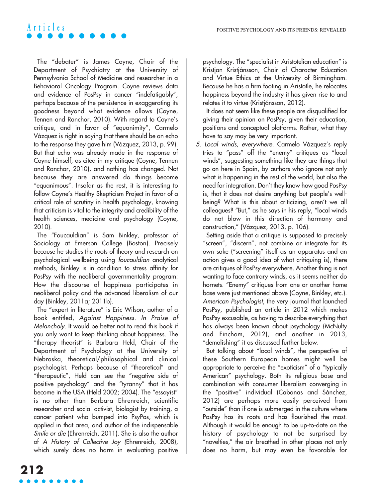The "debater" is James Coyne, Chair of the Department of Psychiatry at the University of Pennsylvania School of Medicine and researcher in a Behavioral Oncology Program. Coyne reviews data and evidence of PosPsy in cancer "indefatigably", perhaps because of the persistence in exaggerating its goodness beyond what evidence allows (Coyne, Tennen and Ranchor, 2010). With regard to Coyne's critique, and in favor of "equanimity", Carmelo Vázquez is right in saying that there should be an echo to the response they gave him (Vázquez, 2013, p. 99). But that echo was already made in the response of Coyne himself, as cited in my critique (Coyne, Tennen and Ranchor, 2010), and nothing has changed. Not because they are answered do things become "equanimous". Insofar as the rest, it is interesting to follow Coyne's Healthy Skepticism Project in favor of a critical role of scrutiny in health psychology, knowing that criticism is vital to the integrity and credibility of the health sciences, medicine and psychology (Coyne, 2010).

The "Foucauldian" is Sam Binkley, professor of Sociology at Emerson College (Boston). Precisely because he studies the roots of theory and research on psychological wellbeing using foucauldian analytical methods, Binkley is in condition to stress affinity for PosPsy with the neoliberal governmentality program: How the discourse of happiness participates in neoliberal policy and the advanced liberalism of our day (Binkley, 2011a; 2011b).

The "expert in literature" is Eric Wilson, author of a book entitled, Against Happiness. In Praise of Melancholy. It would be better not to read this book if you only want to keep thinking about happiness. The "therapy theorist" is Barbara Held, Chair of the Department of Psychology at the University of Nebraska, theoretical/philosophical and clinical psychologist. Perhaps because of "theoretical" and "therapeutic", Held can see the "negative side of positive psychology" and the "tyranny" that it has become in the USA (Held 2002; 2004). The "essayist" is no other than Barbara Ehrenreich, scientific researcher and social activist, biologist by training, a cancer patient who bumped into PsyPos, which is applied in that area, and author of the indispensable Smile or die (Ehrenreich, 2011). She is also the author of A History of Collective Joy (Ehrenreich, 2008), which surely does no harm in evaluating positive

psychology. The "specialist in Aristotelian education" is Kristjan Kristjánsson, Chair of Character Education and Virtue Ethics at the University of Birmingham. Because he has a firm footing in Aristotle, he relocates happiness beyond the industry it has given rise to and relates it to virtue (Kristjánsson, 2012).

It does not seem like these people are disqualified for giving their opinion on PosPsy, given their education, positions and conceptual platforms. Rather, what they have to say may be very important.

5. Local winds, everywhere. Carmelo Vázquez's reply tries to "pass" off the "enemy" critiques as "local winds", suggesting something like they are things that go on here in Spain, by authors who ignore not only what is happening in the rest of the world, but also the need for integration. Don't they know how good PosPsy is, that it does not desire anything but people's wellbeing? What is this about criticizing, aren't we all colleagues? "But," as he says in his reply, "local winds do not blow in this direction of harmony and construction," (Vázquez, 2013, p. 106).

Setting aside that a critique is supposed to precisely "screen", "discern", not combine or integrate for its own sake ("screening" itself as an apparatus and an action gives a good idea of what critiquing is), there are critiques of PosPsy everywhere. Another thing is not wanting to face contrary winds, as it seems neither do hornets. "Enemy" critiques from one or another home base were just mentioned above (Coyne, Binkley, etc.). American Psychologist, the very journal that launched PosPsy, published an article in 2012 which makes PosPsy excusable, as having to describe everything that has always been known about psychology (McNulty and Fincham, 2012), and another in 2013, "demolishing" it as discussed further below.

But talking about "local winds", the perspective of these Southern European homes might well be appropriate to perceive the "exoticism" of a "typically American" psychology. Both its religious base and combination with consumer liberalism converging in the "positive" individual (Cabanas and Sánchez, 2012) are perhaps more easily perceived from "outside" than if one is submerged in the culture where PosPsy has its roots and has flourished the most. Although it would be enough to be up-to-date on the history of psychology to not be surprised by "novelties," the air breathed in other places not only does no harm, but may even be favorable for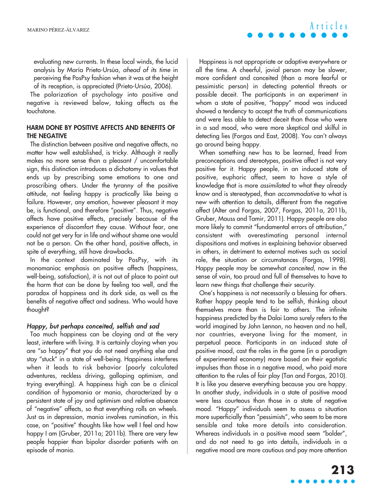evaluating new currents. In these local winds, the lucid analysis by María Prieto-Ursúa, ahead of its time in perceiving the PosPsy fashion when it was at the height of its reception, is appreciated (Prieto-Ursúa, 2006).

The polarization of psychology into positive and negative is reviewed below, taking affects as the touchstone.

#### **HARM DONE BY POSITIVE AFFECTS AND BENEFITS OF THE NEGATIVE**

The distinction between positive and negative affects, no matter how well established, is tricky. Although it really makes no more sense than a pleasant / uncomfortable sign, this distinction introduces a dichotomy in values that ends up by prescribing some emotions to one and proscribing others. Under the tyranny of the positive attitude, not feeling happy is practically like being a failure. However, any emotion, however pleasant it may be, is functional, and therefore "positive". Thus, negative affects have positive effects, precisely because of the experience of discomfort they cause. Without fear, one could not get very far in life and without shame one would not be a person. On the other hand, positive affects, in spite of everything, still have drawbacks.

In the context dominated by PosPsy, with its monomaniac emphasis on positive affects (happiness, well-being, satisfaction), it is not out of place to point out the harm that can be done by feeling too well, and the paradox of happiness and its dark side, as well as the benefits of negative affect and sadness. Who would have thought?

### Happy, but perhaps conceited, selfish and sad

Too much happiness can be cloying and at the very least, interfere with living. It is certainly cloying when you are "so happy" that you do not need anything else and stay "stuck" in a state of well-being. Happiness interferes when it leads to risk behavior (poorly calculated adventures, reckless driving, galloping optimism, and trying everything). A happiness high can be a clinical condition of hypomania or mania, characterized by a persistent state of joy and optimism and relative absence of "negative" affects, so that everything rolls on wheels. Just as in depression, mania involves rumination, in this case, on "positive" thoughts like how well I feel and how happy I am (Gruber, 2011a; 2011b). There are very few people happier than bipolar disorder patients with an episode of mania.

**Articles**

Happiness is not appropriate or adaptive everywhere or all the time. A cheerful, jovial person may be slower, more confident and conceited (than a more fearful or pessimistic person) in detecting potential threats or possible deceit. The participants in an experiment in whom a state of positive, "happy" mood was induced showed a tendency to accept the truth of communications and were less able to detect deceit than those who were in a sad mood, who were more skeptical and skilful in detecting lies (Forgas and East, 2008). You can't always go around being happy.

When something new has to be learned, freed from preconceptions and stereotypes, positive affect is not very positive for it. Happy people, in an induced state of positive, euphoric affect, seem to have a style of knowledge that is more assimilated to what they already know and is stereotyped, than accommodative to what is new with attention to details, different from the negative affect (Alter and Forgas, 2007, Forgas, 2011a, 2011b, Gruber, Mauss and Tamir, 2011). Happy people are also more likely to commit "fundamental errors of attribution," consistent with overestimating personal internal dispositions and motives in explaining behavior observed in others, in detriment to external motives such as social role, the situation or circumstances (Forgas, 1998). Happy people may be somewhat conceited, now in the sense of vain, too proud and full of themselves to have to learn new things that challenge their security.

One's happiness is not necessarily a blessing for others. Rather happy people tend to be selfish, thinking about themselves more than is fair to others. The infinite happiness predicted by the Dalai Lama surely refers to the world imagined by John Lennon, no heaven and no hell, nor countries, everyone living for the moment, in perpetual peace. Participants in an induced state of positive mood, cast the roles in the game (in a paradigm of experimental economy) more based on their egotistic impulses than those in a negative mood, who paid more attention to the rules of fair play (Tan and Forgas, 2010). It is like you deserve everything because you are happy. In another study, individuals in a state of positive mood were less courteous than those in a state of negative mood. "Happy" individuals seem to assess a situation more superficially than "pessimists", who seem to be more sensible and take more details into consideration. Whereas individuals in a positive mood seem "bolder", and do not need to go into details, individuals in a negative mood are more cautious and pay more attention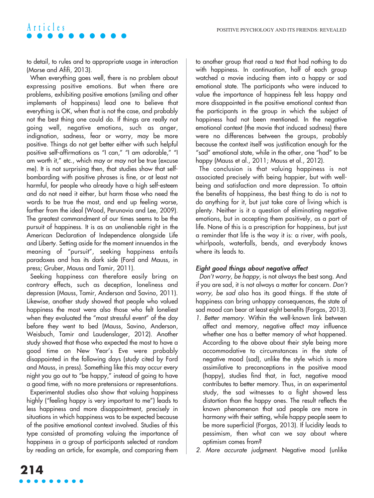to detail, to rules and to appropriate usage in interaction (Morse and Afifi, 2013).

When everything goes well, there is no problem about expressing positive emotions. But when there are problems, exhibiting positive emotions (smiling and other implements of happiness) lead one to believe that everything is OK, when that is not the case, and probably not the best thing one could do. If things are really not going well, negative emotions, such as anger, indignation, sadness, fear or worry, may be more positive. Things do not get better either with such helpful positive self-affirmations as "I can," "I am adorable," "I am worth it," etc., which may or may not be true (excuse me). It is not surprising then, that studies show that selfbombarding with positive phrases is fine, or at least not harmful, for people who already have a high self-esteem and do not need it either, but harm those who need the words to be true the most, and end up feeling worse, farther from the ideal (Wood, Perunovia and Lee, 2009). The greatest commandment of our times seems to be the pursuit of happiness. It is as an unalienable right in the American Declaration of Independence alongside Life and Liberty. Setting aside for the moment innuendos in the meaning of "pursuit", seeking happiness entails paradoxes and has its dark side (Ford and Mauss, in press; Gruber, Mauss and Tamir, 2011).

Seeking happiness can therefore easily bring on contrary effects, such as deception, loneliness and depression (Mauss, Tamir, Anderson and Savino, 2011). Likewise, another study showed that people who valued happiness the most were also those who felt loneliest when they evaluated the "most stressful event" of the day before they went to bed (Mauss, Savino, Anderson, Weisbuch, Tamir and Laudenslager, 2012). Another study showed that those who expected the most to have a good time on New Year's Eve were probably disappointed in the following days (study cited by Ford and Mauss, in press). Something like this may occur every night you go out to "be happy," instead of going to have a good time, with no more pretensions or representations.

Experimental studies also show that valuing happiness highly ("feeling happy is very important to me") leads to less happiness and more disappointment, precisely in situations in which happiness was to be expected because of the positive emotional context involved. Studies of this type consisted of promoting valuing the importance of happiness in a group of participants selected at random by reading an article, for example, and comparing them to another group that read a text that had nothing to do with happiness. In continuation, half of each group watched a movie inducing them into a happy or sad emotional state. The participants who were induced to value the importance of happiness felt less happy and more disappointed in the positive emotional context than the participants in the group in which the subject of happiness had not been mentioned. In the negative emotional context (the movie that induced sadness) there were no differences between the groups, probably because the context itself was justification enough for the "sad" emotional state, while in the other, one "had" to be happy (Mauss et al., 2011; Mauss et al., 2012).

The conclusion is that valuing happiness is not associated precisely with being happier, but with wellbeing and satisfaction and more depression. To attain the benefits of happiness, the best thing to do is not to do anything for it, but just take care of living which is plenty. Neither is it a question of eliminating negative emotions, but in accepting them positively, as a part of life. None of this is a prescription for happiness, but just a reminder that life is the way it is: a river, with pools, whirlpools, waterfalls, bends, and everybody knows where its leads to.

### Eight good things about negative affect

Don't worry, be happy, is not always the best song. And if you are sad, it is not always a matter for concern. Don't worry, be sad also has its good things. If the state of happiness can bring unhappy consequences, the state of sad mood can bear at least eight benefits (Forgas, 2013).

- 1. Better memory. Within the well-known link between affect and memory, negative affect may influence whether one has a better memory of what happened. According to the above about their style being more accommodative to circumstances in the state of negative mood (sad), unlike the style which is more assimilative to preconceptions in the positive mood (happy), studies find that, in fact, negative mood contributes to better memory. Thus, in an experimental study, the sad witnesses to a fight showed less distortion than the happy ones. The result reflects the known phenomenon that sad people are more in harmony with their setting, while happy people seem to be more superficial (Forgas, 2013). If lucidity leads to pessimism, then what can we say about where optimism comes from?
- 2. More accurate judgment. Negative mood (unlike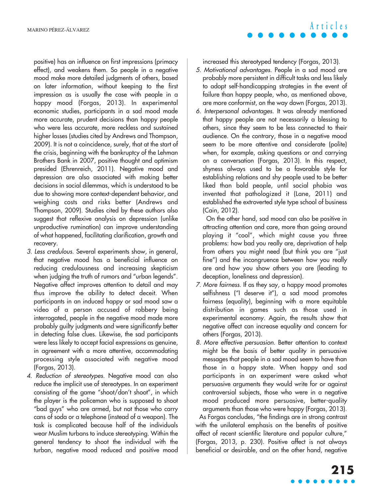positive) has an influence on first impressions (primacy effect), and weakens them. So people in a negative mood make more detailed judgments of others, based on later information, without keeping to the first impression as is usually the case with people in a happy mood (Forgas, 2013). In experimental economic studies, participants in a sad mood made more accurate, prudent decisions than happy people who were less accurate, more reckless and sustained higher losses (studies cited by Andrews and Thompson, 2009). It is not a coincidence, surely, that at the start of the crisis, beginning with the bankruptcy of the Lehman Brothers Bank in 2007, positive thought and optimism presided (Ehrenreich, 2011). Negative mood and depression are also associated with making better decisions in social dilemmas, which is understood to be due to showing more context-dependent behavior, and weighing costs and risks better (Andrews and Thompson, 2009). Studies cited by these authors also suggest that reflexive analysis on depression (unlike unproductive rumination) can improve understanding of what happened, facilitating clarification, growth and recovery.

- 3. Less credulous. Several experiments show, in general, that negative mood has a beneficial influence on reducing credulousness and increasing skepticism when judging the truth of rumors and "urban legends". Negative affect improves attention to detail and may thus improve the ability to detect deceit. When participants in an induced happy or sad mood saw a video of a person accused of robbery being interrogated, people in the negative mood made more probably guilty judgments and were significantly better in detecting false clues. Likewise, the sad participants were less likely to accept facial expressions as genuine, in agreement with a more attentive, accommodating processing style associated with negative mood (Forgas, 2013).
- 4. Reduction of stereotypes. Negative mood can also reduce the implicit use of stereotypes. In an experiment consisting of the game "shoot/don't shoot", in which the player is the policeman who is supposed to shoot "bad guys" who are armed, but not those who carry cans of soda or a telephone (instead of a weapon). The task is complicated because half of the individuals wear Muslim turbans to induce stereotyping. Within the general tendency to shoot the individual with the turban, negative mood reduced and positive mood

increased this stereotyped tendency (Forgas, 2013).

- 5. Motivational advantages. People in a sad mood are probably more persistent in difficult tasks and less likely to adopt self-handicapping strategies in the event of failure than happy people, who, as mentioned above, are more conformist, on the way down (Forgas, 2013).
- 6. Interpersonal advantages. It was already mentioned that happy people are not necessarily a blessing to others, since they seem to be less connected to their audience. On the contrary, those in a negative mood seem to be more attentive and considerate (polite) when, for example, asking questions or and carrying on a conversation (Forgas, 2013). In this respect, shyness always used to be a favorable style for establishing relations and shy people used to be better liked than bold people, until social phobia was invented that pathologized it (Lane, 2011) and established the extroverted style type school of business (Cain, 2012).

On the other hand, sad mood can also be positive in attracting attention and care, more than going around playing it "cool", which might cause you three problems: how bad you really are, deprivation of help from others you might need (but think you are "just fine") and the incongruence between how you really are and how you show others you are (leading to deception, loneliness and depression).

- 7. More fairness. If as they say, a happy mood promotes selfishness ("I deserve it"), a sad mood promotes fairness (equality), beginning with a more equitable distribution in games such as those used in experimental economy. Again, the results show that negative affect can increase equality and concern for others (Forgas, 2013).
- 8. More effective persuasion. Better attention to context might be the basis of better quality in persuasive messages that people in a sad mood seem to have than those in a happy state. When happy and sad participants in an experiment were asked what persuasive arguments they would write for or against controversial subjects, those who were in a negative mood produced more persuasive, better-quality arguments than those who were happy (Forgas, 2013).

As Forgas concludes, "the findings are in strong contrast with the unilateral emphasis on the benefits of positive affect of recent scientific literature and popular culture," (Forgas, 2013, p. 230). Positive affect is not always beneficial or desirable, and on the other hand, negative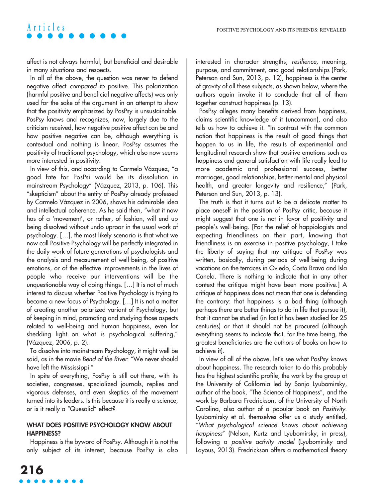affect is not always harmful, but beneficial and desirable in many situations and respects.

In all of the above, the question was never to defend negative affect compared to positive. This polarization (harmful positive and beneficial negative affects) was only used for the sake of the argument in an attempt to show that the positivity emphasized by PosPsy is unsustainable. PosPsy knows and recognizes, now, largely due to the criticism received, how negative positive affect can be and how positive negative can be, although everything is contextual and nothing is linear. PosPsy assumes the positivity of traditional psychology, which also now seems more interested in positivity.

In view of this, and according to Carmelo Vázquez, "a good fate for PosPsi would be its dissolution in mainstream Psychology" (Vázquez, 2013, p. 106). This "skepticism" about the entity of PosPsy already professed by Carmelo Vázquez in 2006, shows his admirable idea and intellectual coherence. As he said then, "what it now has of a 'movement', or rather, of fashion, will end up being dissolved without undo uproar in the usual work of psychology. […], the most likely scenario is that what we now call Positive Psychology will be perfectly integrated in the daily work of future generations of psychologists and the analysis and measurement of well-being, of positive emotions, or of the effective improvements in the lives of people who receive our interventions will be the unquestionable way of doing things. […] It is not of much interest to discuss whether Positive Psychology is trying to become a new focus of Psychology. […] It is not a matter of creating another polarized variant of Psychology, but of keeping in mind, promoting and studying those aspects related to well-being and human happiness, even for shedding light on what is psychological suffering," (Vázquez, 2006, p. 2).

To dissolve into mainstream Psychology, it might well be said, as in the movie Bend of the River: "We never should have left the Mississippi."

In spite of everything, PosPsy is still out there, with its societies, congresses, specialized journals, replies and vigorous defenses, and even skeptics of the movement turned into its leaders. Is this because it is really a science, or is it really a "Quesalid" effect?

### **WHAT DOES POSITIVE PSYCHOLOGY KNOW ABOUT HAPPINESS?**

Happiness is the byword of PosPsy. Although it is not the only subject of its interest, because PosPsy is also interested in character strengths, resilience, meaning, purpose, and commitment, and good relationships (Park, Peterson and Sun, 2013, p. 12), happiness is the center of gravity of all these subjects, as shown below, where the authors again invoke it to conclude that all of them together construct happiness (p. 13).

PosPsy alleges many benefits derived from happiness, claims scientific knowledge of it (uncommon), and also tells us how to achieve it. "In contrast with the common notion that happiness is the result of good things that happen to us in life, the results of experimental and longitudinal research show that positive emotions such as happiness and general satisfaction with life really lead to more academic and professional success, better marriages, good relationships, better mental and physical health, and greater longevity and resilience," (Park, Peterson and Sun, 2013, p. 13).

The truth is that it turns out to be a delicate matter to place oneself in the position of PosPsy critic, because it might suggest that one is not in favor of positivity and people's well-being. [For the relief of happiologists and expecting friendliness on their part, knowing that friendliness is an exercise in positive psychology, I take the liberty of saying that my critique of PosPsy was written, basically, during periods of well-being during vacations on the terraces in Oviedo, Costa Brava and Isla Canela. There is nothing to indicate that in any other context the critique might have been more positive.] A critique of happiness does not mean that one is defending the contrary: that happiness is a bad thing (although perhaps there are better things to do in life that pursue it), that it cannot be studied (in fact it has been studied for 25 centuries) or that it should not be procured (although everything seems to indicate that, for the time being, the greatest beneficiaries are the authors of books on how to achieve it).

In view of all of the above, let's see what PosPsy knows about happiness. The research taken to do this probably has the highest scientific profile, the work by the group at the University of California led by Sonja Lyubomirsky, author of the book, "The Science of Happiness", and the work by Barbara Fredrickson, of the University of North Carolina, also author of a popular book on Positivity. Lyubomirsky et al. themselves offer us a study entitled, "What psychological science knows about achieving happiness" (Nelson, Kurtz and Lyubomirsky, in press), following a positive activity model (Lyubomirsky and Layous, 2013). Fredrickson offers a mathematical theory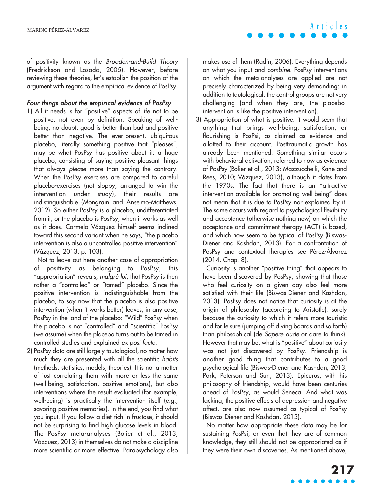of positivity known as the Broaden-and-Build Theory (Fredrickson and Losada, 2005). However, before reviewing these theories, let's establish the position of the argument with regard to the empirical evidence of PosPsy.

### Four things about the empirical evidence of PosPsy

1) All it needs is for "positive" aspects of life not to be positive, not even by definition. Speaking of wellbeing, no doubt, good is better than bad and positive better than negative. The ever-present, ubiquitous placebo, literally something positive that "pleases", may be what PosPsy has positive about it: a huge placebo, consisting of saying positive pleasant things that always please more than saying the contrary. When the PosPsy exercises are compared to careful placebo-exercises (not sloppy, arranged to win the intervention under study), their results are indistinguishable (Mongrain and Anselmo-Matthews, 2012). So either PosPsy is a placebo, undifferentiated from it, or the placebo is PosPsy, when it works as well as it does. Carmelo Vázquez himself seems inclined toward this second variant when he says, "the placebo intervention is also a uncontrolled positive intervention" (Vázquez, 2013, p. 103).

Not to leave out here another case of appropriation of positivity as belonging to PosPsy, this "appropriation" reveals, malgré lui, that PosPsy is then rather a "controlled" or "tamed" placebo. Since the positive intervention is indistinguishable from the placebo, to say now that the placebo is also positive intervention (when it works better) leaves, in any case, PosPsy in the land of the placebo: "Wild" PosPsy when the placebo is not "controlled" and "scientific" PosPsy (we assume) when the placebo turns out to be tamed in controlled studies and explained ex post facto.

2) PosPsy data are still largely tautological, no matter how much they are presented with all the scientific habits (methods, statistics, models, theories). It is not a matter of just correlating them with more or less the same (well-being, satisfaction, positive emotions), but also interventions where the result evaluated (for example, well-being) is practically the intervention itself (e.g., savoring positive memories). In the end, you find what you input. If you follow a diet rich in fructose, it should not be surprising to find high glucose levels in blood. The PosPsy meta-analyses (Bolier et al., 2013; Vázquez, 2013) in themselves do not make a discipline more scientific or more effective. Parapsychology also

makes use of them (Radin, 2006). Everything depends on what you input and combine. PosPsy interventions on which the meta-analyses are applied are not precisely characterized by being very demanding: in addition to tautological, the control groups are not very challenging (and when they are, the placebointervention is like the positive intervention).

**Articles**

3) Appropriation of what is positive: it would seem that anything that brings well-being, satisfaction, or flourishing is PosPsi, as claimed as evidence and allotted to their account. Posttraumatic growth has already been mentioned. Something similar occurs with behavioral activation, referred to now as evidence of PosPsy (Bolier et al., 2013; Mazzucchelli, Kane and Rees, 2010; Vázquez, 2013), although it dates from the 1970s. The fact that there is an "attractive intervention available for promoting well-being" does not mean that it is due to PosPsy nor explained by it. The same occurs with regard to psychological flexibility and acceptance (otherwise nothing new) on which the acceptance and commitment therapy (ACT) is based, and which now seem to be typical of PosPsy (Biswas-Diener and Kashdan, 2013). For a confrontation of PosPsy and contextual therapies see Pérez-Álvarez (2014, Chap. 8).

Curiosity is another "positive thing" that appears to have been discovered by PosPsy, showing that those who feel curiosity on a given day also feel more satisfied with their life (Biswas-Diener and Kashdan, 2013). PosPsy does not notice that curiosity is at the origin of philosophy (according to Aristotle), surely because the curiosity to which it refers more touristic and for leisure (jumping off diving boards and so forth) than philosophical (de Sapere aude or dare to think). However that may be, what is "positive" about curiosity was not just discovered by PosPsy. Friendship is another good thing that contributes to a good psychological life (Biswas-DIener and Kashdan, 2013; Park, Peterson and Sun, 2013). Epicurus, with his philosophy of friendship, would have been centuries ahead of PosPsy, as would Seneca. And what was lacking, the positive effects of depression and negative affect, are also now assumed as typical of PosPsy (Biswas-Diener and Kashdan, 2013).

No matter how appropriate these data may be for sustaining PosPsi, or even that they are of common knowledge, they still should not be appropriated as if they were their own discoveries. As mentioned above,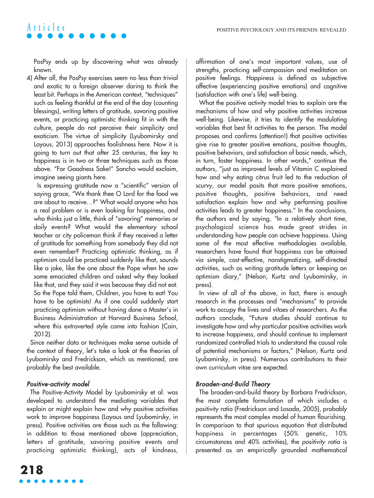PosPsy ends up by discovering what was already known.

4) After all, the PosPsy exercises seem no less than trivial and exotic to a foreign observer daring to think the least bit. Perhaps in the American context, "techniques" such as feeling thankful at the end of the day (counting blessings), writing letters of gratitude, savoring positive events, or practicing optimistic thinking fit in with the culture, people do not perceive their simplicity and exoticism. The virtue of simplicity (Lyubomirsky and Layous, 2013) approaches foolishness here. Now it is going to turn out that after 25 centuries, the key to happiness is in two or three techniques such as those above. "For Goodness Sake!" Sancho would exclaim, imagine seeing giants here.

Is expressing gratitude now a "scientific" version of saying grace, "We thank thee O Lord for the food we are about to receive…?" What would anyone who has a real problem or is even looking for happiness, and who thinks just a little, think of "savoring" memories or daily events? What would the elementary school teacher or city policeman think if they received a letter of gratitude for something from somebody they did not even remember? Practicing optimistic thinking, as if optimism could be practiced suddenly like that, sounds like a joke, like the one about the Pope when he saw some emaciated children and asked why they looked like that, and they said it was because they did not eat. So the Pope told them, Children, you have to eat! You have to be optimists! As if one could suddenly start practicing optimism without having done a Master's in Business Administration at Harvard Business School, where this extroverted style came into fashion (Cain, 2012).

Since neither data or techniques make sense outside of the context of theory, let's take a look at the theories of Lyubomirsky and Fredrickson, which as mentioned, are probably the best available.

### Positive-activity model

The Positive-Activity Model by Lyubomirsky et al. was developed to understand the mediating variables that explain or might explain how and why positive activities work to improve happiness (Layous and Lyubomirsky, in press). Positive activities are those such as the following: in addition to those mentioned above (appreciation, letters of gratitude, savoring positive events and practicing optimistic thinking), acts of kindness,

What the positive activity model tries to explain are the mechanisms of how and why positive activities increase well-being. Likewise, it tries to identify the modulating variables that best fit activities to the person. The model proposes and confirms (attention!) that positive activities give rise to greater positive emotions, positive thoughts, positive behaviors, and satisfaction of basic needs, which, in turn, foster happiness. In other words," continue the authors, "just as improved levels of Vitamin C explained how and why eating citrus fruit led to the reduction of scurvy, our model posits that more positive emotions, positive thoughts, positive behaviors, and need satisfaction explain how and why performing positive activities leads to greater happiness." In the conclusions, the authors end by saying, "In a relatively short time, psychological science has made great strides in understanding how people can achieve happiness. Using some of the most effective methodologies available, researchers have found that happiness can be attained via simple, cost-effective, nonstigmatizing, self-directed activities, such as writing gratitude letters or keeping an optimism diary," (Nelson, Kurtz and Lyubomirsky, in press).

In view of all of the above, in fact, there is enough research in the processes and "mechanisms" to provide work to occupy the lives and vitaes of researchers. As the authors conclude, "Future studies should continue to investigate how and why particular positive activities work to increase happiness, and should continue to implement randomized controlled trials to understand the causal role of potential mechanisms or factors," (Nelson, Kurtz and Lyubomirsky, in press). Numerous contributions to their own curriculum vitae are expected.

### Broaden-and-Build Theory

The broaden-and-build theory by Barbara Fredrickson, the most complete formulation of which includes a positivity ratio (Fredrickson and Losada, 2005), probably represents the most complex model of human flourishing. In comparison to that spurious equation that distributed happiness in percentages (50% genetic, 10% circumstances and 40% activities), the positivity ratio is presented as an empirically grounded mathematical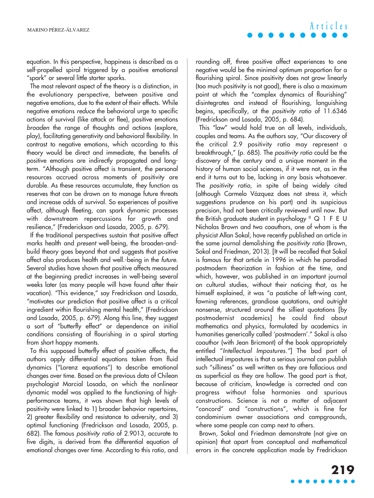equation. In this perspective, happiness is described as a self-propelled spiral triggered by a positive emotional "spark" or several little starter sparks.

The most relevant aspect of the theory is a distinction, in the evolutionary perspective, between positive and negative emotions, due to the extent of their effects. While negative emotions reduce the behavioral urge to specific actions of survival (like attack or flee), positive emotions broaden the range of thoughts and actions (explore, play), facilitating generativity and behavioral flexibility. In contrast to negative emotions, which according to this theory would be direct and immediate, the benefits of positive emotions are indirectly propagated and longterm. "Although positive affect is transient, the personal resources accrued across moments of positivity are durable. As these resources accumulate, they function as reserves that can be drawn on to manage future threats and increase odds of survival. So experiences of positive affect, although fleeting, can spark dynamic processes with downstream repercussions for growth and resilience," (Frederickson and Losada, 2005, p. 679).

If the traditional perspectives sustain that positive affect marks health and presen<sup>t</sup> well-being, the broaden-andbuild theory goes beyond that and suggests that positive affect also produces health and well.-being in the future. Several studies have shown that positive affects measured at the beginning predict increases in well-being several weeks later (as many people will have found after their vacation). "This evidence," say Fredrickson and Losada, "motivates our prediction that positive affect is a critical ingredient within flourishing mental health," (Fredrickson and Losada, 2005, p. 679). Along this line, they suggest a sort of "butterfly effect" or dependence on initial conditions consisting of flourishing in a spiral starting from short happy moments.

To this supposed butterfly effect of positive affects, the authors apply differential equations taken from fluid dynamics ("Lorenz equations") to describe emotional changes over time. Based on the previous data of Chilean psychologist Marcial Losada, on which the nonlinear dynamic model was applied to the functioning of highperformance teams, it was shown that high levels of positivity were linked to 1) broader behavior repertoires, 2) greater flexibility and resistance to adversity, and 3) optimal functioning (Fredrickson and Losada, 2005, p. 682). The famous positivity ratio of 2.9013, accurate to five digits, is derived from the differential equation of emotional changes over time. According to this ratio, and rounding off, three positive affect experiences to one negative would be the minimal optimum proportion for a flourishing spiral. Since positivity does not grow linearly (too much positivity is not good), there is also a maximum point at which the "complex dynamics of flourishing" disintegrates and instead of flourishing, languishing begins, specifically, at the positivity ratio of 11.6346 (Fredrickson and Losada, 2005, p. 684).

This "law" would hold true on all levels, individuals, couples and teams. As the authors say, "Our discovery of the critical 2.9 positivity ratio may represent a breakthrough," (p. 685). The positivity ratio could be the discovery of the century and a unique moment in the history of human social sciences, if it were not, as in the end it turns out to be, lacking in any basis whatsoever. The *positivity ratio*, in spite of being widely cited (although Carmelo Vázquez does not stress it, which suggestions prudence on his part) and its suspicious precision, had not been critically reviewed until now. But the British graduate student in psychology  $\degree$  Q 1 F E U Nicholas Brown and two coauthors, one of whom is the physicist Allan Sokal, have recently published an article in the same journal demolishing the positivity ratio (Brown, Sokal and Friedman, 2013). [It will be recalled that Sokal is famous for that article in 1996 in which he parodied postmodern theorization in fashion at the time, and which, however, was published in an important journal on cultural studies, without their noticing that, as he himself explained, it was "a pastiche of left-wing cant, fawning references, grandiose quotations, and outright nonsense, structured around the silliest quotations [by postmodernist academics] he could find about mathematics and physics, formulated by academics in humanities generically called 'postmodern'." Sokal is also coauthor (with Jean Bricmont) of the book appropriately entitled "Intellectual Impostures."] The bad part of intellectual impostures is that a serious journal can publish such "silliness" as well written as they are fallacious and as superficial as they are hollow. The good part is that, because of criticism, knowledge is corrected and can progress without false harmonies and spurious constructions. Science is not a matter of adjacent "concord" and "constructions", which is fine for condominium owner associations and campgrounds, where some people can camp next to others.

Brown, Sokal and Friedman demonstrate (not give an opinion) that apart from conceptual and mathematical errors in the concrete application made by Fredrickson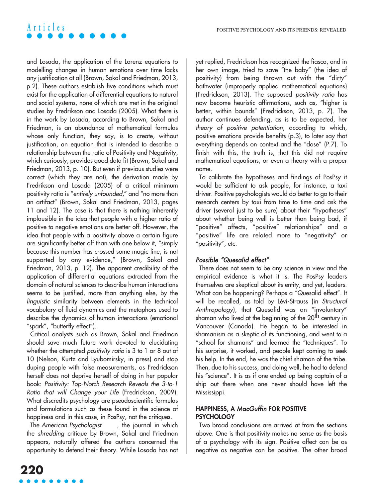and Losada, the application of the Lorenz equations to modelling changes in human emotions over time lacks any justification at all (Brown, Sokal and Friedman, 2013, p.2). These authors establish five conditions which must exist for the application of differential equations to natural and social systems, none of which are met in the original studies by Fredrikson and Losada (2005). What there is in the work by Losada, according to Brown, Sokal and Friedman, is an abundance of mathematical formulas whose only function, they say, is to create, without justification, an equation that is intended to describe a relationship between the ratio of Positivity and Negativity, which curiously, provides good data fit (Brown, Sokal and Friedman, 2013, p. 10). But even if previous studies were correct (which they are not), the derivation made by Fredrikson and Losada (2005) of a critical minimum positivity ratio is "entirely unfounded," and "no more than an artifact" (Brown, Sokal and Friedman, 2013, pages 11 and 12). The case is that there is nothing inherently implausible in the idea that people with a higher ratio of positive to negative emotions are better off. However, the idea that people with a positivity above a certain figure are significantly better off than with one below it, "simply because this number has crossed some magic line, is not supported by any evidence," (Brown, Sokal and Friedman, 2013, p. 12). The apparent credibility of the application of differential equations extracted from the domain of natural sciences to describe human interactions seems to be justified, more than anything else, by the linguistic similarity between elements in the technical vocabulary of fluid dynamics and the metaphors used to describe the dynamics of human interactions (emotional "spark", "butterfly effect").

Critical analysts such as Brown, Sokal and Friedman should save much future work devoted to elucidating whether the attempted *positivity ratio* is 3 to 1 or 8 out of 10 (Nelson, Kurtz and Lyubomirsky, in press) and stop duping people with false measurements, as Fredrickson herself does not deprive herself of doing in her popular book: Positivity: Top-Notch Research Reveals the 3-to-1 Ratio that will Change your Life (Fredrickson, 2009). What discredits psychology are pseudoscientific formulas and formulations such as these found in the science of happiness and in this case, in PosPsy, not the critiques.

The American Psychologist , the journal in which the shredding critique by Brown, Sokal and Friedman appears, naturally offered the authors concerned the opportunity to defend their theory. While Losada has not yet replied, Fredrickson has recognized the fiasco, and in her own image, tried to save "the baby" (the idea of positivity) from being thrown out with the "dirty" bathwater (improperly applied mathematical equations) (Fredrickson, 2013). The supposed positivity ratio has now become heuristic affirmations, such as, "higher is better, within bounds" (Fredrickson, 2013, p. 7). The author continues defending, as is to be expected, her theory of positive potentiation, according to which, positive emotions provide benefits (p.3), to later say that everything depends on context and the "dose" (P.7). To finish with this, the truth is, that this did not require mathematical equations, or even a theory with a proper name.

To calibrate the hypotheses and findings of PosPsy it would be sufficient to ask people, for instance, a taxi driver. Positive psychologists would do better to go to their research centers by taxi from time to time and ask the driver (several just to be sure) about their "hypotheses" about whether being well is better than being bad, if "positive" affects, "positive" relationships" and a "positive" life are related more to "negativity" or "positivity", etc.

### Possible "Quesalid effect"

There does not seem to be any science in view and the empirical evidence is what it is. The PosPsy leaders themselves are skeptical about its entity, and yet, leaders. What can be happening? Perhaps a "Quesalid effect". It will be recalled, as told by Lévi-Strauss (in Structural Anthropology), that Quesalid was an "involuntary" shaman who lived at the beginning of the 20<sup>th</sup> century in Vancouver (Canada). He began to be interested in shamanism as a skeptic of its functioning, and went to a "school for shamans" and learned the "techniques". To his surprise, it worked, and people kept coming to seek his help. In the end, he was the chief shaman of the tribe. Then, due to his success, and doing well, he had to defend his "science". It is as if one ended up being captain of a ship out there when one never should have left the Mississippi.

### **HAPPINESS, A** MacGuffin **FOR POSITIVE PSYCHOLOGY**

Two broad conclusions are arrived at from the sections above. One is that positivity makes no sense as the basis of a psychology with its sign. Positive affect can be as negative as negative can be positive. The other broad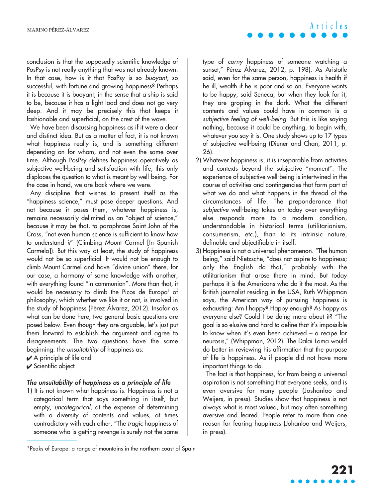conclusion is that the supposedly scientific knowledge of PosPsy is not really anything that was not already known. In that case, how is it that PosPsy is so buoyant, so successful, with fortune and growing happiness? Perhaps it is because it is buoyant, in the sense that a ship is said to be, because it has a light load and does not go very deep. And it may be precisely this that keeps it fashionable and superficial, on the crest of the wave.

We have been discussing happiness as if it were a clear and distinct idea. But as a matter of fact, it is not known what happiness really is, and is something different depending on for whom, and not even the same over time. Although PosPsy defines happiness operatively as subjective well-being and satisfaction with life, this only displaces the question to what is meant by well-being. For the case in hand, we are back where we were.

Any discipline that wishes to present itself as the "happiness science," must pose deeper questions. And not because it poses them, whatever happiness is, remains necessarily delimited as an "object of science," because it may be that, to paraphrase Saint John of the Cross, "not even human science is sufficient to know how to understand it" (Climbing Mount Carmel [In Spanish Carmelo]). But this way at least, the study of happiness would not be so superficial. It would not be enough to climb Mount Carmel and have "divine union" there, for our case, a harmony of some knowledge with another, with everything found "in communion". More than that, it would be necessary to climb the Picos de Europa<sup>3</sup> of philosophy, which whether we like it or not, is involved in the study of happiness (Pérez Álvarez, 2012). Insofar as what can be done here, two general basic questions are posed below. Even though they are arguable, let's just put them forward to establish the argument and agree to disagreements. The two questions have the same beginning: the unsuitability of happiness as:

- ✔ A principle of life and
- ✔ Scientific object

#### The unsuitability of happiness as a principle of life

1) It is not known what happiness is. Happiness is not a categorical term that says something in itself, but empty, uncategorical, at the expense of determining with a diversity of contents and values, at times contradictory with each other. "The tragic happiness of someone who is getting revenge is surely not the same type of corny happiness of someone watching a sunset," Pérez Álvarez, 2012, p. 198). As Aristotle said, even for the same person, happiness is health if he ill, wealth if he is poor and so on. Everyone wants to be happy, said Seneca, but when they look for it, they are groping in the dark. What the different contents and values could have in common is a subjective feeling of well-being. But this is like saying nothing, because it could be anything, to begin with, whatever you say it is. One study shows up to 17 types of subjective well-being (Diener and Chan, 2011, p. 26).

- 2) Whatever happiness is, it is inseparable from activities and contexts beyond the subjective "moment". The experience of subjective well-being is intertwined in the course of activities and contingencies that form part of what we do and what happens in the thread of the circumstances of life. The preponderance that subjective well-being takes on today over everything else responds more to a modern condition, understandable in historical terms (utilitarianism, consumerism, etc.), than to its intrinsic nature, definable and objectifiable in itself.
- 3) Happiness is not a universal phenomenon. "The human being," said Nietzsche, "does not aspire to happiness; only the English do that," probably with the utilitarianism that arose there in mind. But today perhaps it is the Americans who do it the most. As the British journalist residing in the USA, Ruth Whippman says, the American way of pursuing happiness is exhausting: Am I happy? Happy enough? As happy as everyone else? Could I be doing more about it? "The goal is so elusive and hard to define that it's impossible to know when it's even been achieved – a recipe for neurosis," (Whippman, 2012). The Dalai Lama would do better in reviewing his affirmation that the purpose of life is happiness. As if people did not have more important things to do.

The fact is that happiness, far from being a universal aspiration is not something that everyone seeks, and is even aversive for many people (Joshanloo and Weijers, in press). Studies show that happiness is not always what is most valued, but may often something aversive and feared. People refer to more than one reason for fearing happiness (Johanloo and Weijers, in press).

<sup>&</sup>lt;sup>3</sup> Peaks of Europe: a range of mountains in the northern coast of Spain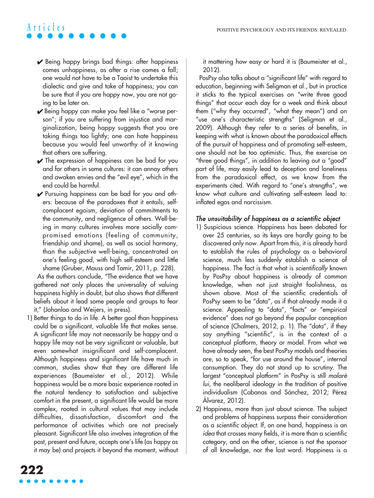- $\vee$  Being happy brings bad things: after happiness comes unhappiness, as after a rise comes a fall; one would not have to be a Taoist to undertake this dialectic and give and take of happiness; you can be sure that if you are happy now, you are not going to be later on.
- ► Being happy can make you feel like a "worse person"; if you are suffering from injustice and marginalization, being happy suggests that you are taking things too lightly; one can hate happiness because you would feel unworthy of it knowing that others are suffering.
- $\vee$  The expression of happiness can be bad for you and for others in some cultures: it can annoy others and awaken envies and the "evil eye", which in the end could be harmful.
- ✔ Pursuing happiness can be bad for you and others: because of the paradoxes that it entails, selfcomplacent egoism, deviation of commitments to the community, and negligence of others. Well-being in many cultures involves more socially compromised emotions (feeling of community, friendship and shame), as well as social harmony, than the subjective well-being, concentrated on one's feeling good, with high self-esteem and little shame (Gruber, Mauss and Tamir, 2011, p. 228).

As the authors conclude, "The evidence that we have gathered not only places the universality of valuing happiness highly in doubt, but also shows that different beliefs about it lead some people and groups to fear it," (Johanloo and Weijers, in press).

1) Better things to do in life. A better goal than happiness could be a significant, valuable life that makes sense. A significant life may not necessarily be happy and a happy life may not be very significant or valuable, but even somewhat insignificant and self-complacent. Although happiness and significant life have much in common, studies show that they are different life experiences (Baumeister et al., 2012). While happiness would be a more basic experience rooted in the natural tendency to satisfaction and subjective comfort in the present, a significant life would be more complex, rooted in cultural values that may include difficulties, dissatisfaction, discomfort and the performance of activities which are not precisely pleasant. Significant life also involves integration of the past, present and future, accepts one's life (as happy as it may be) and projects it beyond the moment, without it mattering how easy or hard it is (Baumeister et al., 2012).

PosPsy also talks about a "significant life" with regard to education, beginning with Seligman et al., but in practice it sticks to the typical exercises on "write three good things" that occur each day for a week and think about them ("why they occurred", "what they mean") and on "use one's characteristic strengths" (Seligman et al., 2009). Although they refer to a series of benefits, in keeping with what is known about the paradoxical effects of the pursuit of happiness and of promoting self-esteem, one should not be too optimistic. Thus, the exercise on "three good things", in addition to leaving out a "good" part of life, may easily lead to deception and loneliness from the paradoxical effect, as we know from the experiments cited. With regard to "one's strengths", we know what culture and cultivating self-esteem lead to: inflated egos and narcissism.

#### The unsuitability of happiness as a scientific object

- 1) Suspicious science. Happiness has been debated for over 25 centuries, so its keys are hardly going to be discovered only now. Apart from this, it is already hard to establish the rules of psychology as a behavioral science, much less suddenly establish a science of happiness. The fact is that what is scientifically known by PosPsy about happiness is already of common knowledge, when not just straight foolishness, as shown above. Most of the scientific credentials of PosPsy seem to be "data", as if that already made it a science. Appealing to "data", "facts" or "empirical evidence" does not go beyond the popular conception of science (Chalmers, 2012, p. 1). The "data", if they say anything "scientific", is in the context of a conceptual platform, theory or model. From what we have already seen, the best PosPsy models and theories are, so to speak, "for use around the house", internal consumption. They do not stand up to scrutiny. The largest "conceptual platform" in PosPsy is still malaré lui, the neoliberal ideology in the tradition of positive individualism (Cabanas and Sánchez, 2012; Pérez Álvarez, 2012).
- 2) Happiness, more than just about science. The subject and problems of happiness surpass their consideration as a scientific object. If, on one hand, happiness is an idea that crosses many fields, it is more than a scientific category, and on the other, science is not the sponsor of all knowledge, nor the last word. Happiness is a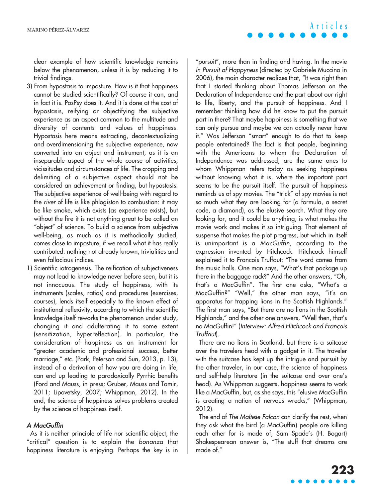MARINO PÉREZ-ÁLVAREZ

clear example of how scientific knowledge remains below the phenomenon, unless it is by reducing it to trivial findings.

- 3) From hypostasis to imposture. How is it that happiness cannot be studied scientifically? Of course it can, and in fact it is. PosPsy does it. And it is done at the cost of hypostasis, reifying or objectifying the subjective experience as an aspect common to the multitude and diversity of contents and values of happiness. Hypostasis here means extracting, decontextualizing and overdimensioning the subjective experience, now converted into an object and instrument, as it is an inseparable aspect of the whole course of activities, vicissitudes and circumstances of life. The cropping and delimiting of a subjective aspect should not be considered an achievement or finding, but hypostasis. The subjective experience of well-being with regard to the river of life is like phlogiston to combustion: it may be like smoke, which exists (as experience exists), but without the fire it is not anything great to be called an "object" of science. To build a science from subjective well-being, as much as it is methodically studied, comes close to imposture, if we recall what it has really contributed: nothing not already known, trivialities and even fallacious indices.
- 1) Scientific iatrogenesis. The reification of subjectiveness may not lead to knowledge never before seen, but it is not innocuous. The study of happiness, with its instruments (scales, ratios) and procedures (exercises, courses), lends itself especially to the known effect of institutional reflexivity, according to which the scientific knowledge itself reworks the phenomenon under study, changing it and adulterating it to some extent (sensitization, hyperreflection). In particular, the consideration of happiness as an instrument for "greater academic and professional success, better marriage," etc. (Park, Peterson and Sun, 2013, p. 13), instead of a derivation of how you are doing in life, can end up leading to paradoxically Pyrrhic benefits (Ford and Mauss, in press; Gruber, Mauss and Tamir, 2011; Lipovetsky, 2007; Whippman, 2012). In the end, the science of happiness solves problems created by the science of happiness itself.

### A MacGuffin

As it is neither principle of life nor scientific object, the "critical" question is to explain the bonanza that happiness literature is enjoying. Perhaps the key is in

"pursuit", more than in finding and having. In the movie In Pursuit of Happyness (directed by Gabriele Muccino in 2006), the main character realizes that, "It was right then that I started thinking about Thomas Jefferson on the Declaration of Independence and the part about our right to life, liberty, and the pursuit of happiness. And I remember thinking how did he know to put the pursuit part in there? That maybe happiness is something that we can only pursue and maybe we can actually never have it." Was Jefferson "smart" enough to do that to keep people entertained? The fact is that people, beginning with the Americans to whom the Declaration of Independence was addressed, are the same ones to whom Whippman refers today as seeking happiness without knowing what it is, where the important part seems to be the pursuit itself. The pursuit of happiness reminds us of spy movies. The "trick" of spy movies is not so much what they are looking for (a formula, a secret code, a diamond), as the elusive search. What they are looking for, and it could be anything, is what makes the movie work and makes it so intriguing. That element of suspense that makes the plot progress, but which in itself is unimportant is a MacGuffin, according to the expression invented by Hitchcock. Hitchcock himself explained it to Francois Truffaut: "The word comes from the music halls. One man says, "What's that package up there in the baggage rack?" And the other answers, "Oh, that's a MacGuffin". The first one asks, "What's a MacGuffin?" "Well," the other man says, "it's an apparatus for trapping lions in the Scottish Highlands." The first man says, "But there are no lions in the Scottish Highlands," and the other one answers, "Well then, that's no MacGuffin!" (Interview: Alfred Hitchcock and François Truffaut).

There are no lions in Scotland, but there is a suitcase over the travelers head with a gadget in it. The traveler with the suitcase has kept up the intrigue and pursuit by the other traveler, in our case, the science of happiness and self-help literature (in the suitcase and over one's head). As Whippman suggests, happiness seems to work like a MacGuffin, but, as she says, this "elusive MacGuffin is creating a nation of nervous wrecks," (Whippman, 2012).

The end of The Maltese Falcon can clarify the rest, when they ask what the bird (a MacGuffin) people are killing each other for is made of, Sam Spade's (H. Bogart) Shakespearean answer is, "The stuff that dreams are made of."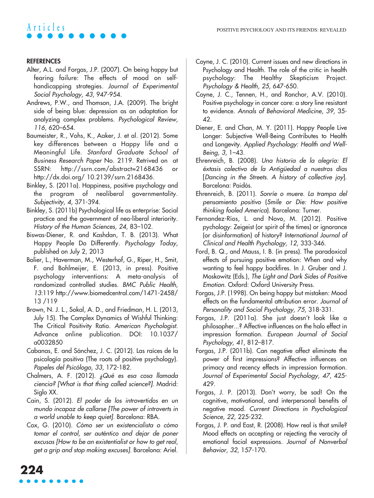#### **REFERENCES**

- Alter, A.L. and Forgas, J.P. (2007). On being happy but fearing failure: The effects of mood on selfhandicapping strategies. Journal of Experimental Social Psychology, 43, 947-954.
- Andrews, P.W., and Thomson, J.A. (2009). The bright side of being blue: depression as an adaptation for analyzing complex problems. Psychological Review, 116, 620–654.
- Baumeister, R., Vohs, K., Aaker, J. et al. (2012). Some key differences between a Happy life and a Meaningful Life. Stanford Graduate School of Business Research Paper No. 2119. Retrived on at SSRN:  $http://ssrn.com/abstract=2168436$ http://dx.doi.org/ 10.2139/ssrn.2168436.
- Binkley, S. (2011a). Happiness, positive psychology and the program of neoliberal governmentality. Subjectivity, 4, 371-394.
- Binkley, S. (2011b) Psychological life as enterprise: Social practice and the government of neo-liberal interiority. History of the Human Sciences, 24, 83–102.
- Biswas-Diener, R. and Kashdan, T. B. (2013). What Happy People Do Differently. Psychology Today, published on July 2, 2013
- Bolier, L., Haverman, M., Westerhof, G., Riper, H., Smit, F. and Bohlmeijer, E. (2013, in press). Positive psychology interventions: A meta-analysis of randomized controlled studies. BMC Public Health, 13:119 http://www.biomedcentral.com/1471-2458/ 13 /119
- Brown, N. J. L., Sokal, A. D., and Friedman, H. L. (2013, July 15). The Complex Dynamics of Wishful Thinking: The Critical Positivity Ratio. American Psychologist. Advance online publication. DOI: 10.1037/ a0032850
- Cabanas, E. and Sánchez, J. C. (2012). Las raíces de la psicología positiva (The roots of positive psychology). Papeles del Psicólogo, 33, 172-182.
- Chalmers, A. F. (2012). ¿Qué es esa cosa llamada ciencia? [What is that thing called science?]. Madrid: Siglo XX.
- Cain, S. (2012). El poder de los introvertidos en un mundo incapaz de callarse [The power of introverts in a world unable to keep quiet]. Barcelona: RBA.
- Cox, G. (2010). Cómo ser un existencialista o cómo tomar el control, ser auténtico and dejar de poner excusas [How to be an existentialist or how to get real, get a grip and stop making excuses]. Barcelona: Ariel.
- Coyne, J. C. (2010). Current issues and new directions in Psychology and Health. The role of the critic in health psychology: The Healthy Skepticism Project. Psychology & Health, 25, 647-650.
- Coyne, J. C., Tennen, H., and Ranchor, A.V. (2010). Positive psychology in cancer care: a story line resistant to evidence. Annals of Behavioral Medicine, 39, 35- 42.
- Diener, E. and Chan, M. Y. (2011). Happy People Live Longer: Subjective Well-Being Contributes to Health and Longevity. Applied Psychology: Health and Well-Being, 3, 1–43.
- Ehrenreich, B. (2008). Una historia de la alegría: El éxtasis colectivo de la Antigüedad a nuestros días [Dancing in the Streets. A history of collective joy]. Barcelona: Paidós.
- Ehrenreich, B. (2011). Sonríe o muere. La trampa del pensamiento positivo (Smile or Die: How positive thinking fooled America). Barcelona: Turner.
- Fernandez-Ríos, L. and Novo, M. (2012). Positive pychology: Zeigeist (or spirit of the times) or ignorance (or disinformation) of history? International Journal of Clinical and Health Psychology, 12, 333-346.
- Ford, B. Q., and Mauss, I. B. (in press). The paradoxical effects of pursuing positive emotion: When and why wanting to feel happy backfires. In J. Gruber and J. Moskowitz (Eds.), The Light and Dark Sides of Positive Emotion. Oxford: Oxford University Press.
- Forgas, J.P. (1998). On being happy but mistaken: Mood effects on the fundamental attribution error. Journal of Personality and Social Psychology, 75, 318-331.
- Forgas, J.P. (2011a). She just doesn't look like a philosopher...? Affective influences on the halo effect in impression formation. European Journal of Social Psychology, 41, 812–817.
- Forgas, J.P. (2011b). Can negative affect eliminate the power of first impressions? Affective influences on primacy and recency effects in impression formation. Journal of Experimental Social Psychology, 47, 425- 429.
- Forgas, J. P. (2013). Don't worry, be sad! On the cognitive, motivational, and interpersonal benefits of negative mood. Current Directions in Psychological Science, 22, 225-232.
- Forgas, J. P. and East, R. (2008). How real is that smile? Mood effects on accepting or rejecting the veracity of emotional facial expressions. Journal of Nonverbal Behavior, 32, 157-170.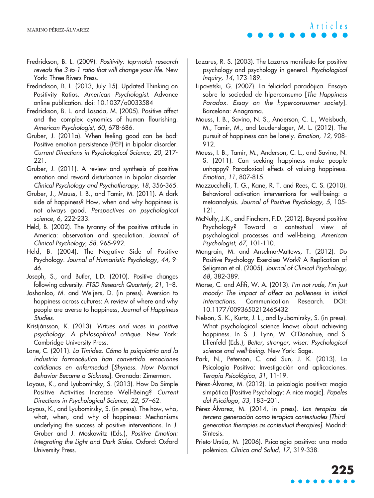- Fredrickson, B. L. (2009). Positivity: top-notch research reveals the 3-to-1 ratio that will change your life. New York: Three Rivers Press.
- Fredrickson, B. L. (2013, July 15). Updated Thinking on Positivity Ratios. American Psychologist. Advance online publication. doi: 10.1037/a0033584
- Fredrickson, B. L. and Losada, M. (2005). Positive affect and the complex dynamics of human flourishing. American Psychologist, 60, 678-686.
- Gruber, J. (2011a). When feeling good can be bad: Positive emotion persistence (PEP) in bipolar disorder. Current Directions in Psychological Science, 20, 217- 221.
- Gruber, J. (2011). A review and synthesis of positive emotion and reward disturbance in bipolar disorder. Clinical Psychology and Psychotherapy, 18, 356-365.
- Gruber, J., Mauss, I. B., and Tamir, M. (2011). A dark side of happiness? How, when and why happiness is not always good. Perspectives on psychological science, 6, 222-233.
- Held, B. (2002). The tyranny of the positive attitude in America: observation and speculation. Journal of Clinical Psychology, 58, 965-992.
- Held, B. (2004). The Negative Side of Positive Psychology. Journal of Humanistic Psychology, 44, 9- 46.
- Joseph, S., and Butler, L.D. (2010). Positive changes following adversity. PTSD Research Quarterly, 21, 1–8.
- Joshanloo, M. and Weijers, D. (in press). Aversion to happiness across cultures: A review of where and why people are averse to happiness, Journal of Happiness Studies.
- Kristjánsson, K. (2013). Virtues and vices in positive psychology. A philosophical critique. New York: Cambridge University Press.
- Lane, C. (2011). La Timidez. Cómo la psiquiatría and la industria farmacéutica han convertido emociones cotidianas en enfermedad [Shyness. How Normal Behavior Became a Sickness]. Granada: Zimerman.
- Layous, K., and Lyubomirsky, S. (2013). How Do Simple Positive Activities Increase Well-Being? Current Directions in Psychological Science, 22, 57–62.
- Layous, K., and Lyubomirsky, S. (in press). The how, who, what, when, and why of happiness: Mechanisms underlying the success of positive interventions. In J. Gruber and J. Moskowitz (Eds.), Positive Emotion: Integrating the Light and Dark Sides. Oxford: Oxford University Press.
- Lazarus, R. S. (2003). The Lazarus manifesto for positive psychology and psychology in general. Psychological Inquiry, 14, 173-189.
- Lipovetski, G. (2007). La felicidad paradójica. Ensayo sobre la sociedad de hiperconsumo [The Happiness Paradox. Essay on the hyperconsumer society]. Barcelona: Anagrama.
- Mauss, I. B., Savino, N. S., Anderson, C. L., Weisbuch, M., Tamir, M., and Laudenslager, M. L. (2012). The pursuit of happiness can be lonely. Emotion, 12, 908- 912.
- Mauss, I. B., Tamir, M., Anderson, C. L., and Savino, N. S. (2011). Can seeking happiness make people unhappy? Paradoxical effects of valuing happiness. Emotion, 11, 807-815.
- Mazzucchelli, T. G., Kane, R. T. and Rees, C. S. (2010). Behavioral activation interventions for well-being: a metaanalysis. Journal of Positive Psychology, 5, 105- 121.
- McNulty, J.K., and Fincham, F.D. (2012). Beyond positive Psychology? Toward a contextual view of psychological processes and well-being. American Psychologist, 67, 101-110.
- Mongrain, M. and Anselmo-Mattews, T. (2012). Do Positive Psychology Exercises Work? A Replication of Seligman et al. (2005). Journal of Clinical Psychology, 68, 382-389.
- Morse, C. and Afifi, W. A. (2013). I'm not rude, I'm just moody: The impact of affect on politeness in initial interactions. Communication Research. DOI: 10.1177/0093650212465432
- Nelson, S. K., Kurtz, J. L., and Lyubomirsky, S. (in press). What psychological science knows about achieving happiness. In S. J. Lynn, W. O'Donohue, and S. Lilienfeld (Eds.), Better, stronger, wiser: Psychological science and well-being. New York: Sage.
- Park, N., Peterson, C. and Sun, J. K. (2013). La Psicología Positiva: Investigación and aplicaciones. Terapia Psicológica, 31, 11-19.
- Pérez-Álvarez, M. (2012). La psicología positiva: magia simpática [Positive Psychology: A nice magic]. Papeles del Psicólogo, 33, 183–201.
- Pérez-Álvarez, M. (2014, in press). Las terapias de tercera generación como terapias contextuales [Thirdgeneration therapies as contextual therapies]. Madrid: Síntesis.
- Prieto-Ursúa, M. (2006). Psicología positiva: una moda polémica. Clínica and Salud, 17, 319-338.